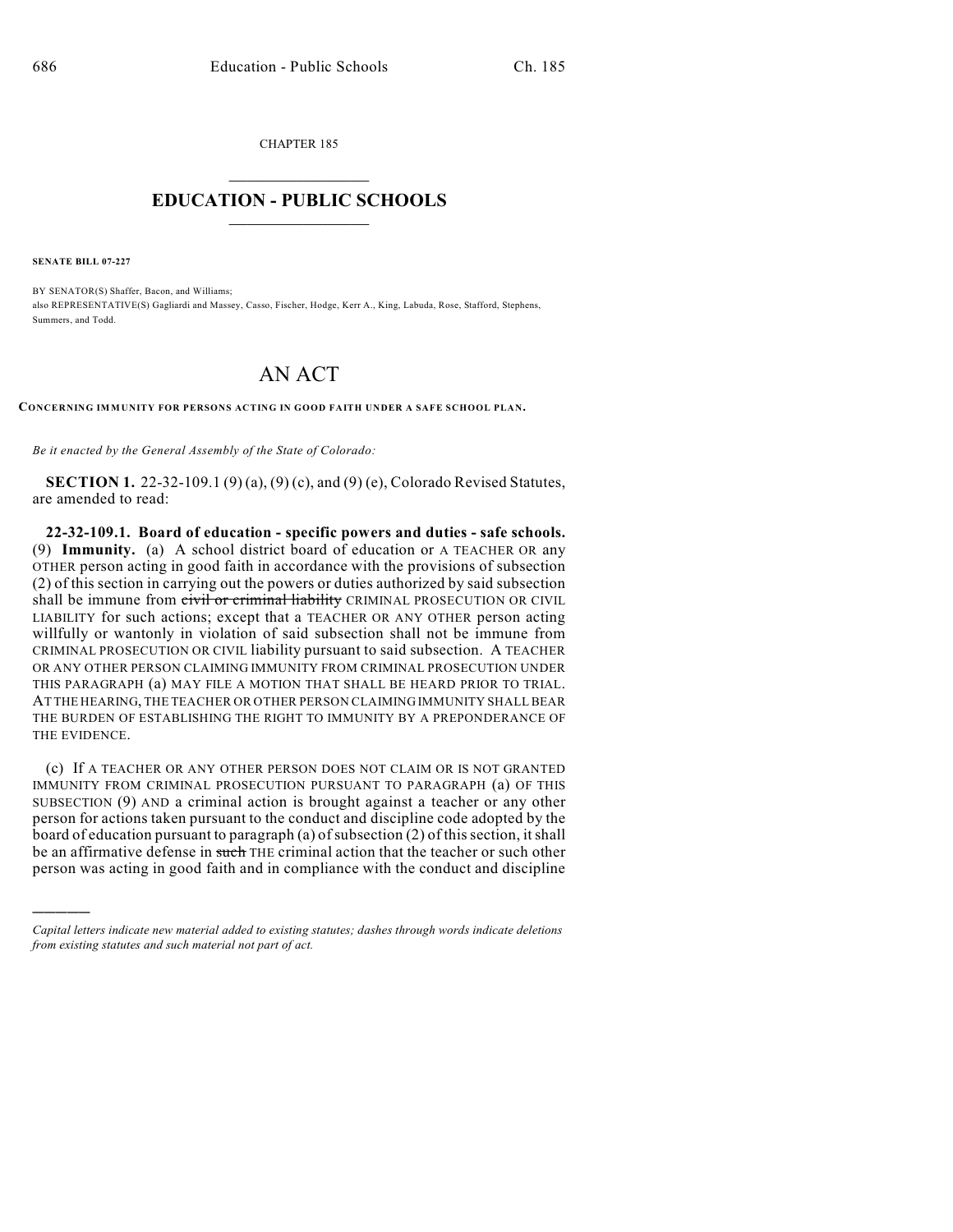CHAPTER 185  $\mathcal{L}_\text{max}$  . The set of the set of the set of the set of the set of the set of the set of the set of the set of the set of the set of the set of the set of the set of the set of the set of the set of the set of the set

## **EDUCATION - PUBLIC SCHOOLS**  $\_$   $\_$   $\_$   $\_$   $\_$   $\_$   $\_$   $\_$   $\_$

**SENATE BILL 07-227**

)))))

BY SENATOR(S) Shaffer, Bacon, and Williams; also REPRESENTATIVE(S) Gagliardi and Massey, Casso, Fischer, Hodge, Kerr A., King, Labuda, Rose, Stafford, Stephens, Summers, and Todd.

## AN ACT

**CONCERNING IMMUNITY FOR PERSONS ACTING IN GOOD FAITH UNDER A SAFE SCHOOL PLAN.**

*Be it enacted by the General Assembly of the State of Colorado:*

**SECTION 1.** 22-32-109.1 (9) (a), (9) (c), and (9) (e), Colorado Revised Statutes, are amended to read:

**22-32-109.1. Board of education - specific powers and duties - safe schools.** (9) **Immunity.** (a) A school district board of education or A TEACHER OR any OTHER person acting in good faith in accordance with the provisions of subsection (2) of this section in carrying out the powers or duties authorized by said subsection shall be immune from civil or criminal liability CRIMINAL PROSECUTION OR CIVIL LIABILITY for such actions; except that a TEACHER OR ANY OTHER person acting willfully or wantonly in violation of said subsection shall not be immune from CRIMINAL PROSECUTION OR CIVIL liability pursuant to said subsection. A TEACHER OR ANY OTHER PERSON CLAIMING IMMUNITY FROM CRIMINAL PROSECUTION UNDER THIS PARAGRAPH (a) MAY FILE A MOTION THAT SHALL BE HEARD PRIOR TO TRIAL. AT THE HEARING, THE TEACHER OR OTHER PERSON CLAIMING IMMUNITY SHALL BEAR THE BURDEN OF ESTABLISHING THE RIGHT TO IMMUNITY BY A PREPONDERANCE OF THE EVIDENCE.

(c) If A TEACHER OR ANY OTHER PERSON DOES NOT CLAIM OR IS NOT GRANTED IMMUNITY FROM CRIMINAL PROSECUTION PURSUANT TO PARAGRAPH (a) OF THIS SUBSECTION (9) AND a criminal action is brought against a teacher or any other person for actions taken pursuant to the conduct and discipline code adopted by the board of education pursuant to paragraph (a) of subsection (2) of this section, it shall be an affirmative defense in such THE criminal action that the teacher or such other person was acting in good faith and in compliance with the conduct and discipline

*Capital letters indicate new material added to existing statutes; dashes through words indicate deletions from existing statutes and such material not part of act.*